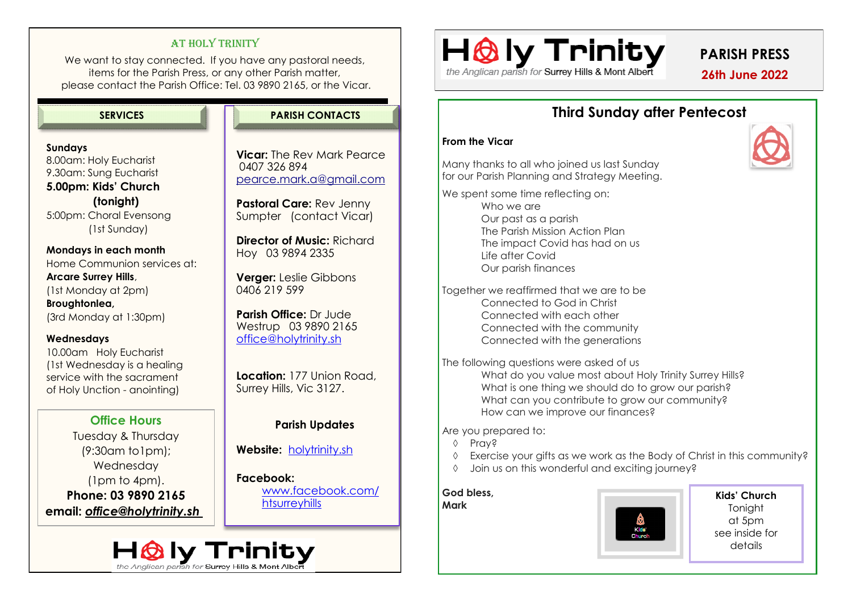# AT HOLY TRINITY

We want to stay connected. If you have any pastoral needs, items for the Parish Press, or any other Parish matter, please contact the Parish Office: Tel. 03 9890 2165, or the Vicar.

#### **SERVICES PARISH CONTACTS**

# **Sundays** 8.00am: Holy Eucharist 9.30am: Sung Eucharist **5.00pm: Kids' Church**

 **(tonight)** 5:00pm: Choral Evensong (1st Sunday)

**Mondays in each month** Home Communion services at: **Arcare Surrey Hills**, (1st Monday at 2pm) **Broughtonlea,**  (3rd Monday at 1:30pm)

### **Wednesdays**

10.00am Holy Eucharist (1st Wednesday is a healing service with the sacrament of Holy Unction - anointing)

**Office Hours**  Tuesday & Thursday (9:30am to1pm); Wednesday (1pm to 4pm). **Phone: 03 9890 2165 email:** *office@holytrinity.sh* 



**Vicar:** The Rev Mark Pearce 0407 326 894 pearce.mark.a@gmail.com

**Pastoral Care:** Rev Jenny Sumpter (contact Vicar)

**Director of Music:** Richard Hoy 03 9894 2335

**Verger:** Leslie Gibbons 0406 219 599

**Parish Office:** Dr Jude Westrup 03 9890 2165 [office@holytrinity.sh](mailto:office@holytrinity.sh)

Location: 177 Union Road, Surrey Hills, Vic 3127.

# **Parish Updates**

**Website:** <holytrinity.sh>

**Facebook:**  www.facebook.com/ **htsurreyhills** 

# the Anglican parish for Surrey Hills & Mont Albert

**PARISH PRESS**

 **26th June 2022**

# **Third Sunday after Pentecost**

#### **From the Vicar**

Many thanks to all who joined us last Sunday for our Parish Planning and Strategy Meeting.

We spent some time reflecting on:

Who we are Our past as a parish The Parish Mission Action Plan The impact Covid has had on us Life after Covid Our parish finances

Together we reaffirmed that we are to be Connected to God in Christ Connected with each other Connected with the community Connected with the generations

The following questions were asked of us What do you value most about Holy Trinity Surrey Hills? What is one thing we should do to grow our parish? What can you contribute to grow our community? How can we improve our finances?

Are you prepared to:

- $\Diamond$  Pray<sub>2</sub>
- Exercise your gifts as we work as the Body of Christ in this community?
- Join us on this wonderful and exciting journey?

# **God bless,**

# **Mark**



**Kids' Church Tonight** at 5pm see inside for details

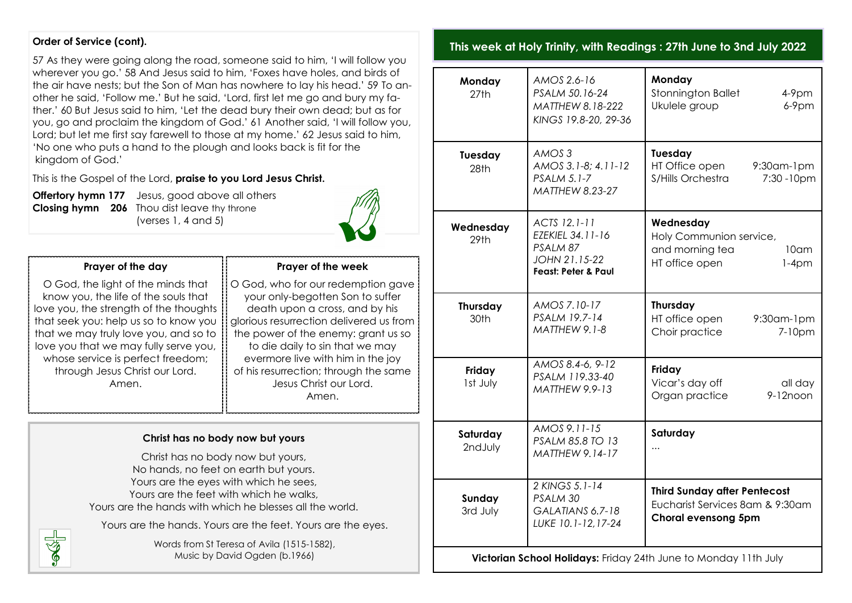#### **Order of Service (cont).**

57 As they were going along the road, someone said to him, 'I will follow you wherever you go.' 58 And Jesus said to him, 'Foxes have holes, and birds of the air have nests; but the Son of Man has nowhere to lay his head.' 59 To another he said, 'Follow me.' But he said, 'Lord, first let me go and bury my father.' 60 But Jesus said to him, 'Let the dead bury their own dead; but as for you, go and proclaim the kingdom of God.' 61 Another said, 'I will follow you, Lord; but let me first say farewell to those at my home.' 62 Jesus said to him, 'No one who puts a hand to the plough and looks back is fit for the kingdom of God.'

This is the Gospel of the Lord, **praise to you Lord Jesus Christ.** 

SS-

**Offertory hymn 177** Jesus, good above all others **Closing hymn** 206 Thou dist leave thy throne (verses  $1, 4$  and  $5$ )



# **Prayer of the day**

O God, the light of the minds that know you, the life of the souls that love you, the strength of the thoughts that seek you: help us so to know you that we may truly love you, and so to love you that we may fully serve you, whose service is perfect freedom; through Jesus Christ our Lord. Amen.

#### **Prayer of the week**

O God, who for our redemption gave your only-begotten Son to suffer death upon a cross, and by his glorious resurrection delivered us from the power of the enemy: grant us so to die daily to sin that we may evermore live with him in the joy of his resurrection; through the same Jesus Christ our Lord. Amen.

#### **Christ has no body now but yours**

Christ has no body now but yours, No hands, no feet on earth but yours. Yours are the eyes with which he sees, Yours are the feet with which he walks, Yours are the hands with which he blesses all the world.

Yours are the hands. Yours are the feet. Yours are the eyes.

Words from St Teresa of Avila (1515-1582), Music by David Ogden (b.1966)

## **This week at Holy Trinity, with Readings : 27th June to 3nd July 2022**

| Monday<br>27th                                                  | AMOS 2.6-16<br>PSALM 50.16-24<br>MATTHEW 8.18-222<br>KINGS 19.8-20, 29-36                       | Monday<br>Stonnington Ballet<br>$4-9$ pm<br>Ukulele group<br>$6-9$ pm                                    |
|-----------------------------------------------------------------|-------------------------------------------------------------------------------------------------|----------------------------------------------------------------------------------------------------------|
| Tuesday<br>28th                                                 | AMOS <sub>3</sub><br>AMOS 3.1-8; 4.11-12<br><b>PSALM 5.1-7</b><br><b>MATTHEW 8.23-27</b>        | Tuesday<br>HT Office open<br>$9:30$ am- $1$ pm<br>S/Hills Orchestra<br>7:30 - 10pm                       |
| Wednesday<br>29 <sub>th</sub>                                   | ACTS 12.1-11<br>EZEKIEL 34.11-16<br>PSALM 87<br>JOHN 21.15-22<br><b>Feast: Peter &amp; Paul</b> | Wednesday<br>Holy Communion service,<br>and morning tea<br>10 <sub>cm</sub><br>HT office open<br>$1-4pm$ |
| Thursday<br>30th                                                | AMOS 7.10-17<br>PSALM 19.7-14<br>MATTHEW 9.1-8                                                  | Thursday<br>HT office open<br>9:30am-1pm<br>Choir practice<br>7-10pm                                     |
| Friday<br>Ist July                                              | AMOS 8.4-6, 9-12<br>PSALM 119.33-40<br><b>MATTHEW 9.9-13</b>                                    | Friday<br>Vicar's day off<br>all day<br>Organ practice<br>9-12noon                                       |
| Saturday<br>2ndJuly                                             | AMOS 9.11-15<br>PSALM 85.8 TO 13<br>MATTHEW 9.14-17                                             | Saturday<br>                                                                                             |
| Sunday<br>3rd July                                              | 2 KINGS 5.1-14<br>PSALM 30<br>GALATIANS 6.7-18<br>LUKE 10.1-12,17-24                            | <b>Third Sunday after Pentecost</b><br>Eucharist Services 8am & 9:30am<br><b>Choral evensong 5pm</b>     |
| Victorian School Holidays: Friday 24th June to Monday 11th July |                                                                                                 |                                                                                                          |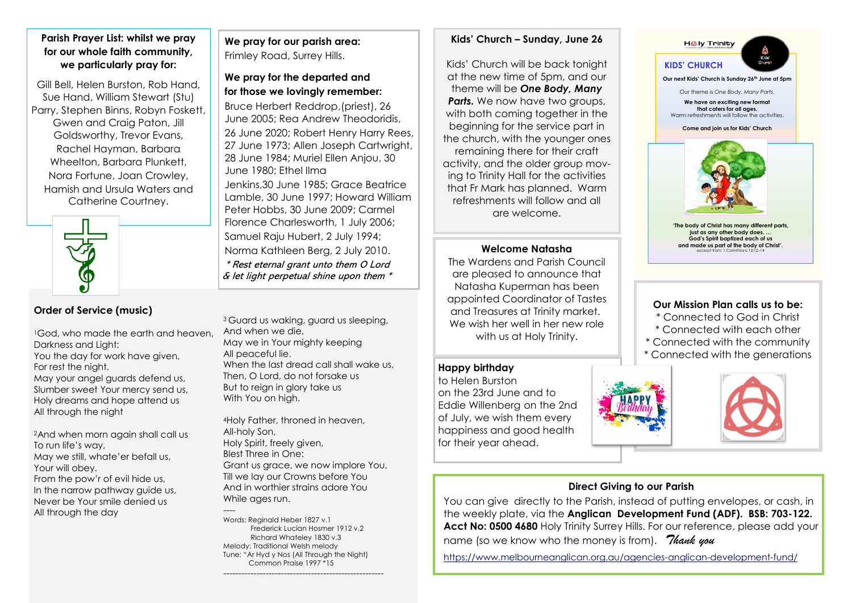#### **Parish Prayer List: whilst we pray for our whole faith community, we particularly pray for:**

Gill Bell, Helen Burston, Rob Hand, Sue Hand, William Stewart (Stu) Parry, Stephen Binns, Robyn Foskett, Gwen and Craig Paton, Jill Goldsworthy, Trevor Evans, Rachel Hayman, Barbara Wheelton, Barbara Plunkett, Nora Fortune, Joan Crowley, Hamish and Ursula Waters and Catherine Courtney.



# **Order of Service (music)**

1God, who made the earth and heaven Darkness and Light: You the day for work have given, For rest the night. May your angel guards defend us, Slumber sweet Your mercy send us, Holy dreams and hope attend us All through the night

2And when morn again shall call us To run life's way, May we still, whate'er befall us, Your will obey. From the pow'r of evil hide us, In the narrow pathway guide us, Never be Your smile denied us All through the day

**We pray for our parish area:**  Frimley Road, Surrey Hills.

**We pray for the departed and for those we lovingly remember:**  Bruce Herbert Reddrop,(priest), 26 June 2005; Rea Andrew Theodoridis, 26 June 2020; Robert Henry Harry Rees, 27 June 1973; Allen Joseph Cartwright, 28 June 1984; Muriel Ellen Anjou, 30 June 1980; Ethel Ilma

Jenkins,30 June 1985; Grace Beatrice Lamble, 30 June 1997; Howard William Peter Hobbs, 30 June 2009; Carmel Florence Charlesworth, 1 July 2006; Samuel Raju Hubert, 2 July 1994; Norma Kathleen Berg, 2 July 2010. \* Rest eternal grant unto them O Lord  $\&$  let light perpetual shine upon them  $*$ 

<sup>3</sup> Guard us waking, guard us sleeping, And when we die, May we in Your mighty keeping All peaceful lie. When the last dread call shall wake us, Then, O Lord, do not forsake us But to reign in glory take us With You on high.

<sup>4</sup>Holy Father, throned in heaven, All-holy Son, Holy Spirit, freely given, Blest Three in One: Grant us grace, we now implore You, Till we lay our Crowns before You And in worthier strains adore You While ages run.

---- Words: Reginald Heber 1827 v.1 Frederick Lucian Hosmer 1912 v.2 Richard Whateley 1830 v.3 Melody: Traditional Welsh melody Tune: "Ar Hyd y Nos (All Through the Night) Common Praise 1997 \*15

-----------------------------------------------------

#### **Kids' Church – Sunday, June 26**

Kids' Church will be back tonight at the new time of 5pm, and our theme will be *One Body, Many*  **Parts.** We now have two groups, with both coming together in the beginning for the service part in the church, with the younger ones remaining there for their craft activity, and the older group moving to Trinity Hall for the activities that Fr Mark has planned. Warm refreshments will follow and all are welcome.

#### **Welcome Natasha**

The Wardens and Parish Council are pleased to announce that Natasha Kuperman has been appointed Coordinator of Tastes and Treasures at Trinity market. We wish her well in her new role with us at Holy Trinity.

#### **Happy birthday**

to Helen Burston on the 23rd June and to Eddie Willenberg on the 2nd of July, we wish them every happiness and good health for their year ahead.



**'The body of Christ has many different parts, just as any other baptized each of us** and made us part of the body of Christ'. excerpt from: 1 Corinthians 12:12–14

#### **Our Mission Plan calls us to be:**

- \* Connected to God in Christ \* Connected with each other
- 
- \* Connected with the community
- \* Connected with the generations





#### **Direct Giving to our Parish**

You can give directly to the Parish, instead of putting envelopes, or cash, in the weekly plate, via the **Anglican Development Fund (ADF). BSB: 703-122. Acct No: 0500 4680** Holy Trinity Surrey Hills. For our reference, please add your name (so we know who the money is from). *Thank you* 

<https://www.melbourneanglican.org.au/agencies-anglican-development-fund/>